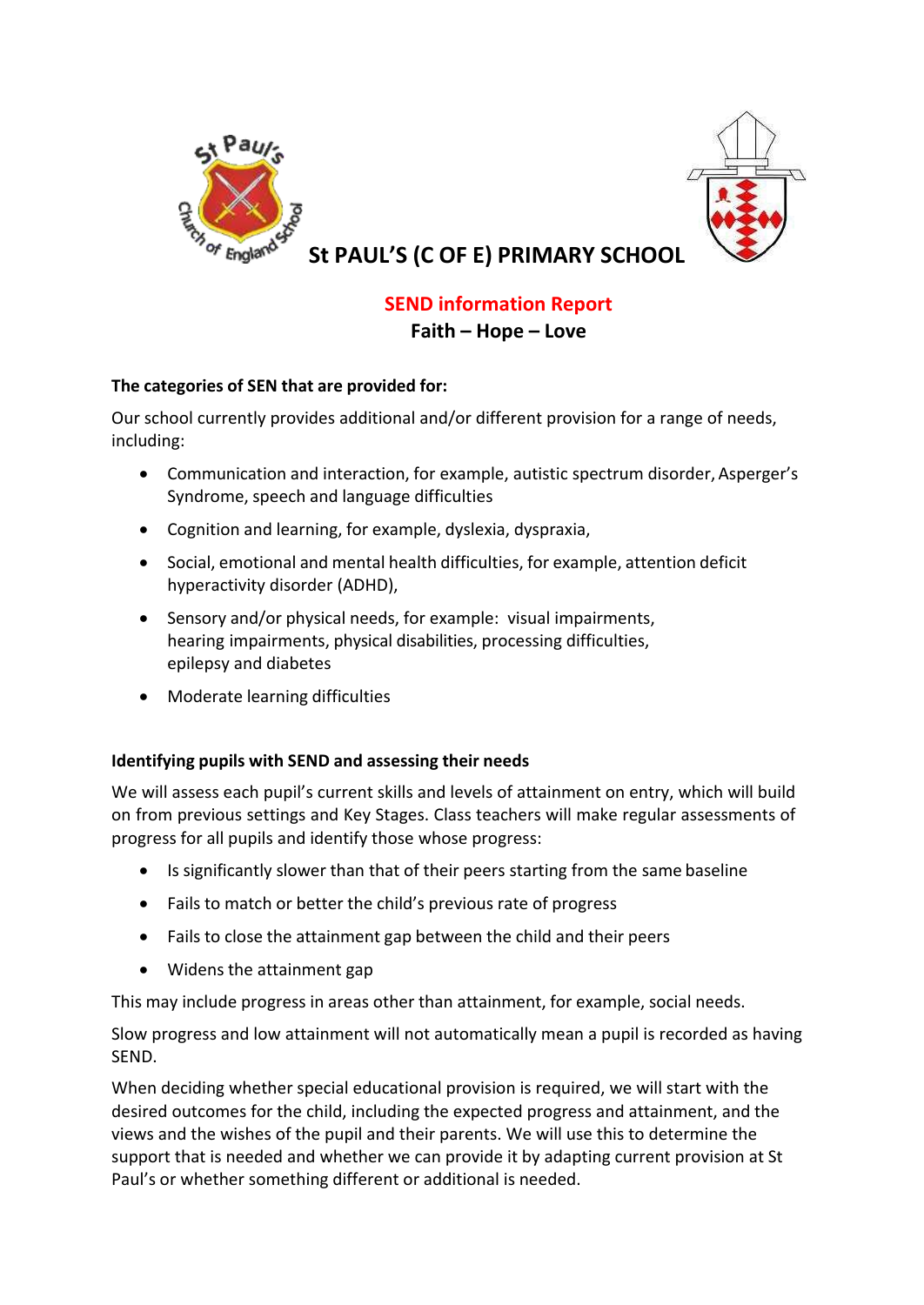



**St PAUL'S (C OF E) PRIMARY SCHOOL**

# **SEND information Report Faith – Hope – Love**

# **The categories of SEN that are provided for:**

Our school currently provides additional and/or different provision for a range of needs, including:

- Communication and interaction, for example, autistic spectrum disorder, Asperger's Syndrome, speech and language difficulties
- Cognition and learning, for example, dyslexia, dyspraxia,
- Social, emotional and mental health difficulties, for example, attention deficit hyperactivity disorder (ADHD),
- Sensory and/or physical needs, for example: visual impairments, hearing impairments, physical disabilities, processing difficulties, epilepsy and diabetes
- Moderate learning difficulties

# **Identifying pupils with SEND and assessing their needs**

We will assess each pupil's current skills and levels of attainment on entry, which will build on from previous settings and Key Stages. Class teachers will make regular assessments of progress for all pupils and identify those whose progress:

- Is significantly slower than that of their peers starting from the same baseline
- Fails to match or better the child's previous rate of progress
- Fails to close the attainment gap between the child and their peers
- Widens the attainment gap

This may include progress in areas other than attainment, for example, social needs.

Slow progress and low attainment will not automatically mean a pupil is recorded as having SEND.

When deciding whether special educational provision is required, we will start with the desired outcomes for the child, including the expected progress and attainment, and the views and the wishes of the pupil and their parents. We will use this to determine the support that is needed and whether we can provide it by adapting current provision at St Paul's or whether something different or additional is needed.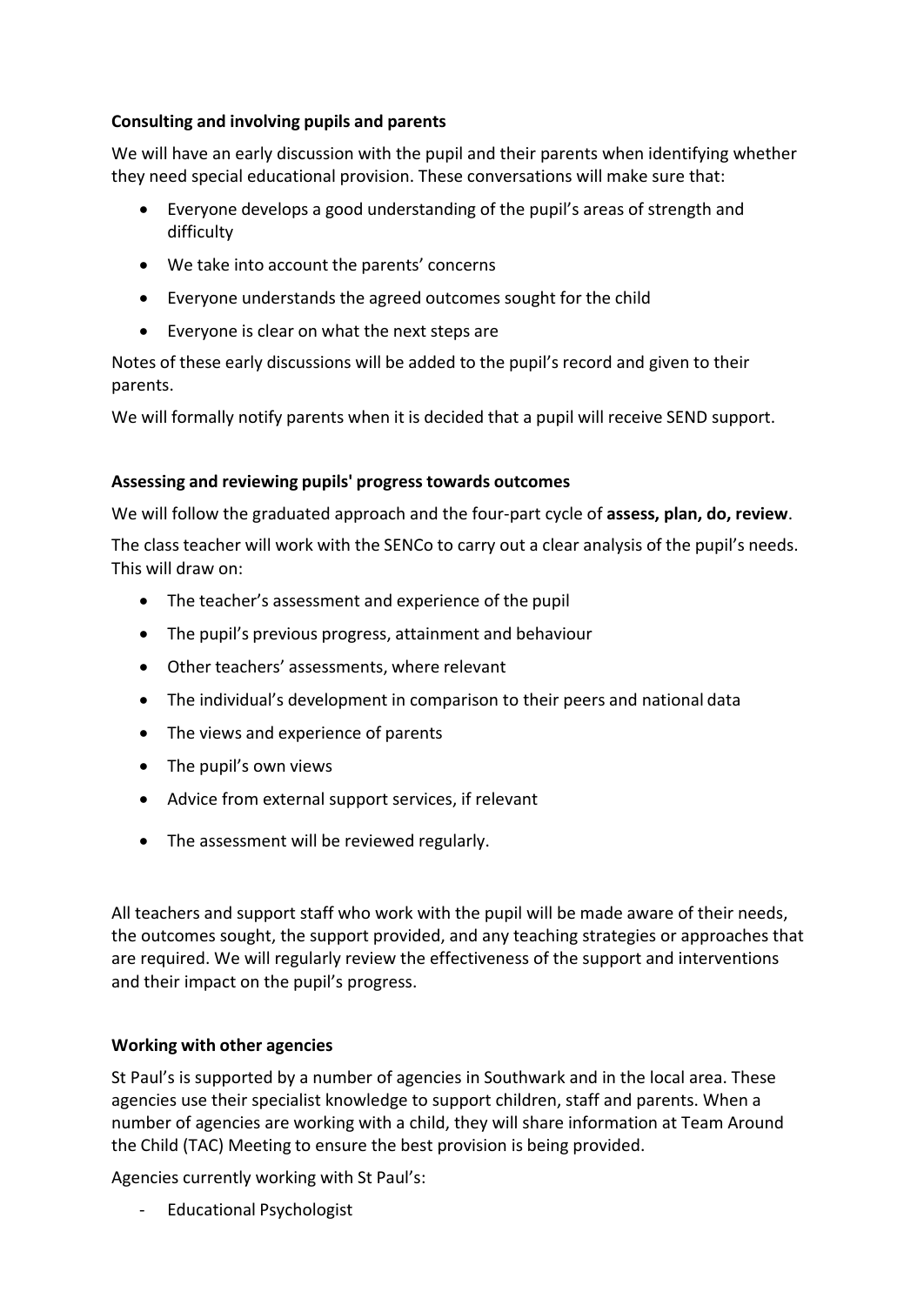## **Consulting and involving pupils and parents**

We will have an early discussion with the pupil and their parents when identifying whether they need special educational provision. These conversations will make sure that:

- Everyone develops a good understanding of the pupil's areas of strength and difficulty
- We take into account the parents' concerns
- Everyone understands the agreed outcomes sought for the child
- Everyone is clear on what the next steps are

Notes of these early discussions will be added to the pupil's record and given to their parents.

We will formally notify parents when it is decided that a pupil will receive SEND support.

## **Assessing and reviewing pupils' progress towards outcomes**

We will follow the graduated approach and the four-part cycle of **assess, plan, do, review**.

The class teacher will work with the SENCo to carry out a clear analysis of the pupil's needs. This will draw on:

- The teacher's assessment and experience of the pupil
- The pupil's previous progress, attainment and behaviour
- Other teachers' assessments, where relevant
- The individual's development in comparison to their peers and national data
- The views and experience of parents
- The pupil's own views
- Advice from external support services, if relevant
- The assessment will be reviewed regularly.

All teachers and support staff who work with the pupil will be made aware of their needs, the outcomes sought, the support provided, and any teaching strategies or approaches that are required. We will regularly review the effectiveness of the support and interventions and their impact on the pupil's progress.

# **Working with other agencies**

St Paul's is supported by a number of agencies in Southwark and in the local area. These agencies use their specialist knowledge to support children, staff and parents. When a number of agencies are working with a child, they will share information at Team Around the Child (TAC) Meeting to ensure the best provision is being provided.

Agencies currently working with St Paul's:

- Educational Psychologist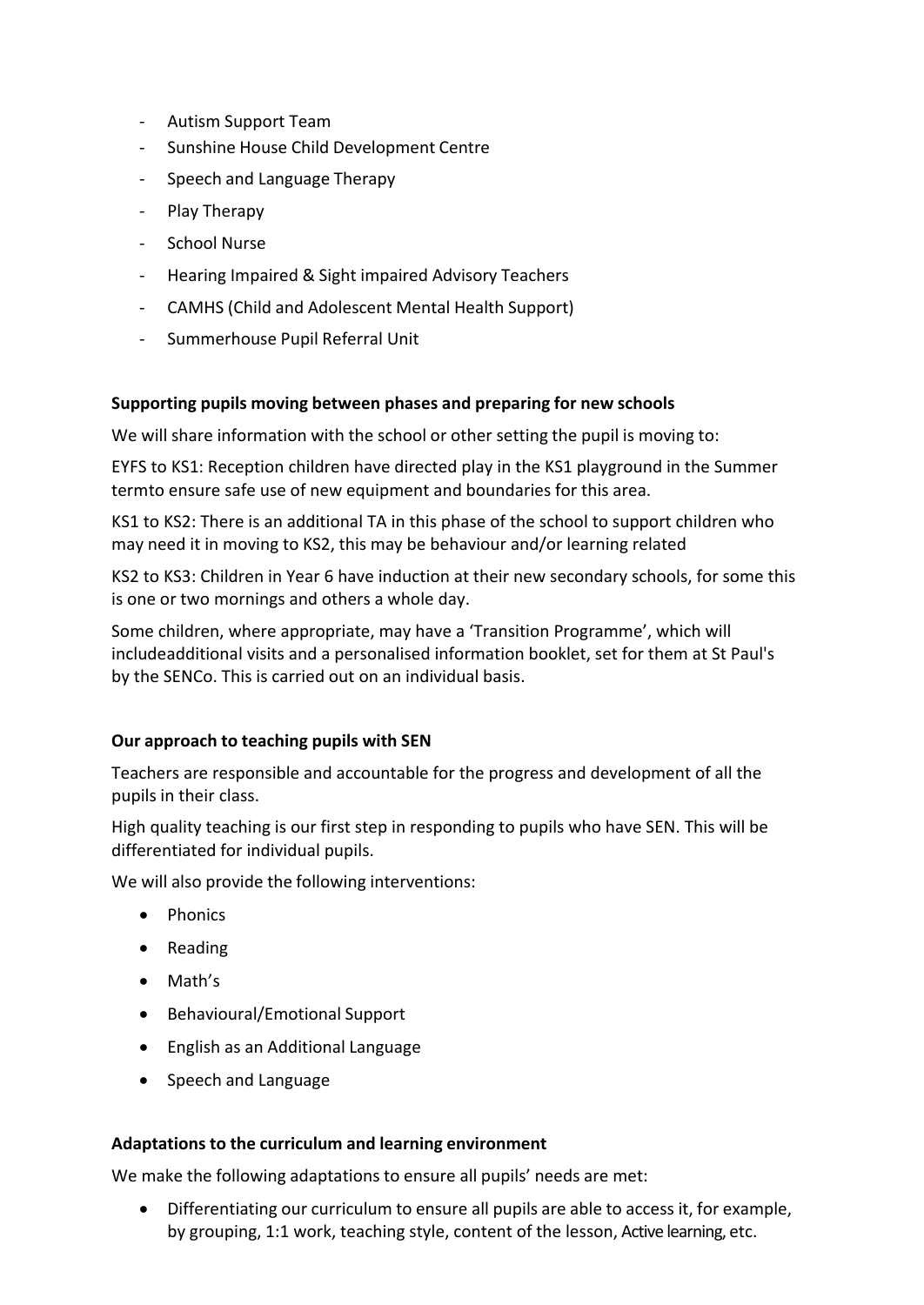- Autism Support Team
- Sunshine House Child Development Centre
- Speech and Language Therapy
- Play Therapy
- School Nurse
- Hearing Impaired & Sight impaired Advisory Teachers
- CAMHS (Child and Adolescent Mental Health Support)
- Summerhouse Pupil Referral Unit

#### **Supporting pupils moving between phases and preparing for new schools**

We will share information with the school or other setting the pupil is moving to:

EYFS to KS1: Reception children have directed play in the KS1 playground in the Summer termto ensure safe use of new equipment and boundaries for this area.

KS1 to KS2: There is an additional TA in this phase of the school to support children who may need it in moving to KS2, this may be behaviour and/or learning related

KS2 to KS3: Children in Year 6 have induction at their new secondary schools, for some this is one or two mornings and others a whole day.

Some children, where appropriate, may have a 'Transition Programme', which will includeadditional visits and a personalised information booklet, set for them at St Paul's by the SENCo. This is carried out on an individual basis.

#### **Our approach to teaching pupils with SEN**

Teachers are responsible and accountable for the progress and development of all the pupils in their class.

High quality teaching is our first step in responding to pupils who have SEN. This will be differentiated for individual pupils.

We will also provide the following interventions:

- Phonics
- Reading
- Math's
- Behavioural/Emotional Support
- English as an Additional Language
- Speech and Language

#### **Adaptations to the curriculum and learning environment**

We make the following adaptations to ensure all pupils' needs are met:

• Differentiating our curriculum to ensure all pupils are able to access it, for example, by grouping, 1:1 work, teaching style, content of the lesson, Active learning, etc.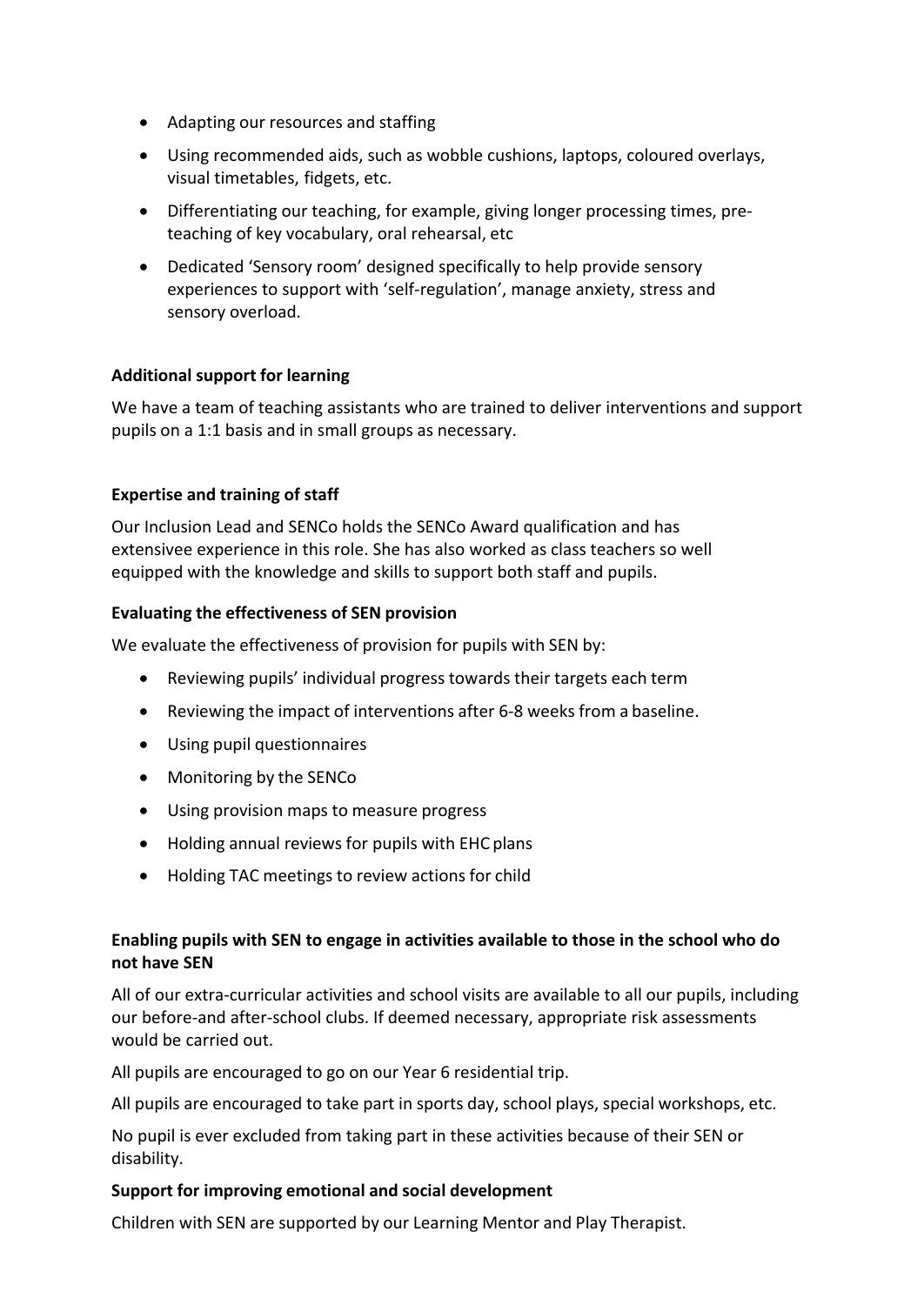- Adapting our resources and staffing
- Using recommended aids, such as wobble cushions, laptops, coloured overlays, visual timetables, fidgets, etc.
- Differentiating our teaching, for example, giving longer processing times, preteaching of key vocabulary, oral rehearsal, etc
- Dedicated 'Sensory room' designed specifically to help provide sensory experiences to support with 'self-regulation', manage anxiety, stress and sensory overload.

## **Additional support for learning**

We have a team of teaching assistants who are trained to deliver interventions and support pupils on a 1:1 basis and in small groups as necessary.

## **Expertise and training of staff**

Our Inclusion Lead and SENCo holds the SENCo Award qualification and has extensivee experience in this role. She has also worked as class teachers so well equipped with the knowledge and skills to support both staff and pupils.

#### **Evaluating the effectiveness of SEN provision**

We evaluate the effectiveness of provision for pupils with SEN by:

- Reviewing pupils' individual progress towards their targets each term
- Reviewing the impact of interventions after 6-8 weeks from a baseline.
- Using pupil questionnaires
- Monitoring by the SENCo
- Using provision maps to measure progress
- Holding annual reviews for pupils with EHC plans
- Holding TAC meetings to review actions for child

## **Enabling pupils with SEN to engage in activities available to those in the school who do not have SEN**

All of our extra-curricular activities and school visits are available to all our pupils, including our before-and after-school clubs. If deemed necessary, appropriate risk assessments would be carried out.

All pupils are encouraged to go on our Year 6 residential trip.

All pupils are encouraged to take part in sports day, school plays, special workshops, etc.

No pupil is ever excluded from taking part in these activities because of their SEN or disability.

#### **Support for improving emotional and social development**

Children with SEN are supported by our Learning Mentor and Play Therapist.